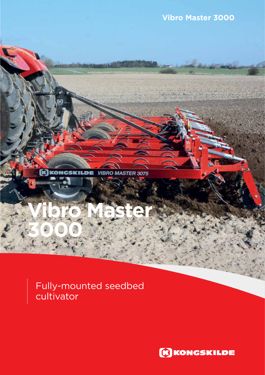### **Vibro Master 3000**

William

**K** KONGSKILDE **VIBRO MASTER 3075** 

**Vibro Master** 

**3000**

Fully-mounted seedbed cultivator

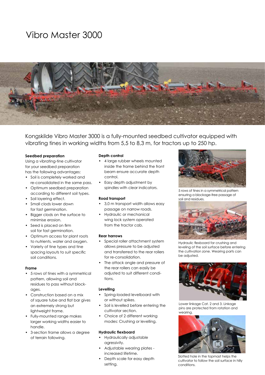## Vibro Master 3000



Kongskilde Vibro Master 3000 is a fully-mounted seedbed cultivator equipped with vibrating tines in working widths from 5,5 to 8,3 m, for tractors up to 250 hp.

#### **Seedbed preparation**

Using a vibrating-tine cultivator for your seedbed preparation has the following advantages:

- Soil is completely worked and re-consolidated in the same pass.
- Optimum seedbed preparation according to different soil types.
- Soil layering effect.
- Small clods lower down for fast germination.
- Bigger clods on the surface to minimise erosion.
- Seed is placed on firm soil for fast germination.
- Optimum access for plant roots to nutrients, water and oxygen.
- Variety of tine types and tine spacing layouts to suit specific soil conditions.

#### **Frame**

- 5 rows of tines with a symmetrical pattern, allowing soil and residues to pass without blockages.
- Construction based on a mix of square tube and flat bar gives an extremely strong but lightweight frame.
- Fully-mounted range makes larger working widths easier to handle.
- 3-section frame allows a degree of terrain following.

#### **Depth control**

- 4 large rubber wheels mounted inside the frame behind the front beam ensure accurate depth control.
- Easy depth adjustment by spindles with clear indicators.

#### **Road transport**

- 3,0 m transport width allows easy passage on narrow roads.
- Hydraulic or mechanical wing lock system operated from the tractor cab.

#### **Rear harrows**

- Special roller attachment system allows pressure to be adjusted and transferred to the rear rollers for re-consolidation.
- The attack angle and pressure of the rear rollers can easily be adjusted to suit different conditions.

#### **Levelling**

- Spring-loaded levelboard with or without spikes.
- Soil is levelled before entering the cultivator section.
- Choice of 2 different working modes: Crushing or levelling.

#### **Hydraulic flexboard**

- Hydraulically adjustable agressivity.
- Adjustable wearing plates increased lifetime.
- Depth scale for easy depth setting.



5 rows of tines in a symmetrical pattern ensuring a blockage-free passage of soil and residues.



Hydraulic flexboard for crushing and leveling of the soil surface before entering the cultivation zone. Wearing parts can be adiusted.



Lower linkage Cat. 2 and 3. Linkage pins are protected from rotation and wearing



Slotted hole in the topmast helps the cultivator to follow the soil surface in hilly conditions.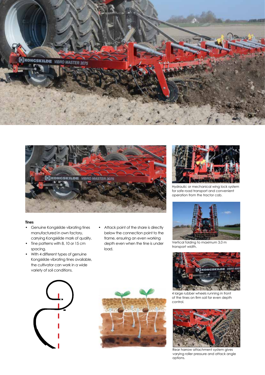



#### **Tines**

- Genuine Kongskilde vibrating tines manufactured in own factory, carrying Kongskilde mark of quality.
- Tine patterns with 8, 10 or 15 cm spacing.
- With 4 different types of genuine Kongskilde vibrating tines available, the cultivator can work in a wide variety of soil conditions.
- Attack point of the share is directly below the connection point to the frame, ensuring an even working depth even when the tine is under load.



Hydraulic or mechanical wing lock system for safe road transport and convenient operation from the tractor cab.



Vertical folding to maximum 3,0 m transport width.



4 large rubber wheels running in front of the tines on firm soil for even depth control.



Rear harrow attachment system gives varying roller pressure and attack angle options.